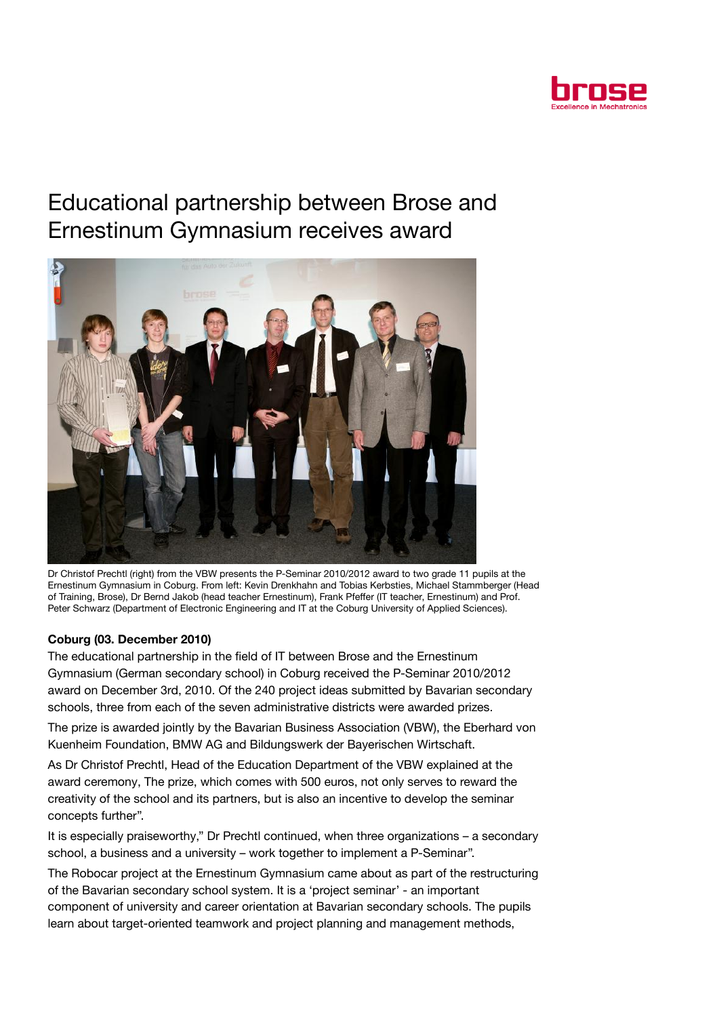

## Educational partnership between Brose and Ernestinum Gymnasium receives award



Dr Christof Prechtl (right) from the VBW presents the P-Seminar 2010/2012 award to two grade 11 pupils at the Ernestinum Gymnasium in Coburg. From left: Kevin Drenkhahn and Tobias Kerbsties, Michael Stammberger (Head of Training, Brose), Dr Bernd Jakob (head teacher Ernestinum), Frank Pfeffer (IT teacher, Ernestinum) and Prof. Peter Schwarz (Department of Electronic Engineering and IT at the Coburg University of Applied Sciences).

## Coburg (03. December 2010)

The educational partnership in the field of IT between Brose and the Ernestinum Gymnasium (German secondary school) in Coburg received the P-Seminar 2010/2012 award on December 3rd, 2010. Of the 240 project ideas submitted by Bavarian secondary schools, three from each of the seven administrative districts were awarded prizes.

The prize is awarded jointly by the Bavarian Business Association (VBW), the Eberhard von Kuenheim Foundation, BMW AG and Bildungswerk der Bayerischen Wirtschaft.

As Dr Christof Prechtl, Head of the Education Department of the VBW explained at the award ceremony, The prize, which comes with 500 euros, not only serves to reward the creativity of the school and its partners, but is also an incentive to develop the seminar concepts further".

It is especially praiseworthy," Dr Prechtl continued, when three organizations – a secondary school, a business and a university – work together to implement a P-Seminar".

The Robocar project at the Ernestinum Gymnasium came about as part of the restructuring of the Bavarian secondary school system. It is a 'project seminar' - an important component of university and career orientation at Bavarian secondary schools. The pupils learn about target-oriented teamwork and project planning and management methods,